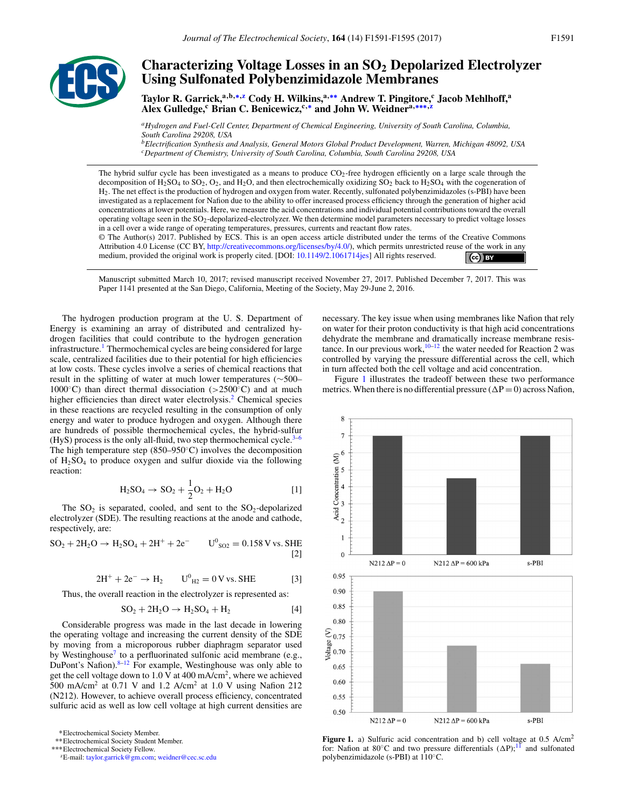

# **Characterizing Voltage Losses in an SO<sub>2</sub> Depolarized Electrolyzer Using Sulfonated Polybenzimidazole Membranes**

Taylor R. Garrick,<sup>a,b,∗,z</sup> Cody H. Wilkins,<sup>a,∗∗</sup> Andrew T. Pingitore,<sup>c</sup> Jacob Mehlhoff,<sup>a</sup> **Alex Gulledge,<sup>c</sup> Brian C. Benicewicz,c,**<sup>∗</sup> **and John W. Weidnera,**∗∗∗**,z**

*aHydrogen and Fuel-Cell Center, Department of Chemical Engineering, University of South Carolina, Columbia, South Carolina 29208, USA*

*bElectrification Synthesis and Analysis, General Motors Global Product Development, Warren, Michigan 48092, USA cDepartment of Chemistry, University of South Carolina, Columbia, South Carolina 29208, USA*

The hybrid sulfur cycle has been investigated as a means to produce CO2-free hydrogen efficiently on a large scale through the decomposition of  $H_2$ SO<sub>4</sub> to SO<sub>2</sub>, O<sub>2</sub>, and  $H_2$ O<sub>3</sub> and then electrochemically oxidizing SO<sub>2</sub> back to  $H_2$ SO<sub>4</sub> with the cogeneration of H2. The net effect is the production of hydrogen and oxygen from water. Recently, sulfonated polybenzimidazoles (s-PBI) have been investigated as a replacement for Nafion due to the ability to offer increased process efficiency through the generation of higher acid concentrations at lower potentials. Here, we measure the acid concentrations and individual potential contributions toward the overall operating voltage seen in the  $SO_2$ -depolarized-electrolyzer. We then determine model parameters necessary to predict voltage losses in a cell over a wide range of operating temperatures, pressures, currents and reactant flow rates.

© The Author(s) 2017. Published by ECS. This is an open access article distributed under the terms of the Creative Commons Attribution 4.0 License (CC BY, [http://creativecommons.org/licenses/by/4.0/\)](http://creativecommons.org/licenses/by/4.0/), which permits unrestricted reuse of the work in any medium, provided the original work is properly cited. [DOI: [10.1149/2.1061714jes\]](http://dx.doi.org/10.1149/2.1061714jes) All rights reserved.  $\left($ ce $\right)$  BY

Manuscript submitted March 10, 2017; revised manuscript received November 27, 2017. Published December 7, 2017. This was Paper 1141 presented at the San Diego, California, Meeting of the Society, May 29-June 2, 2016.

The hydrogen production program at the U. S. Department of Energy is examining an array of distributed and centralized hydrogen facilities that could contribute to the hydrogen generation infrastructure.<sup>1</sup> Thermochemical cycles are being considered for large scale, centralized facilities due to their potential for high efficiencies at low costs. These cycles involve a series of chemical reactions that result in the splitting of water at much lower temperatures (∼500– 1000◦C) than direct thermal dissociation (*>*2500◦C) and at much higher efficiencies than direct water electrolysis.<sup>2</sup> Chemical species in these reactions are recycled resulting in the consumption of only energy and water to produce hydrogen and oxygen. Although there are hundreds of possible thermochemical cycles, the hybrid-sulfur (HyS) process is the only all-fluid, two step thermochemical cycle. $3-6$ The high temperature step  $(850-950°C)$  involves the decomposition of  $H<sub>2</sub>SO<sub>4</sub>$  to produce oxygen and sulfur dioxide via the following reaction:

$$
H_2SO_4 \to SO_2 + \frac{1}{2}O_2 + H_2O \qquad [1]
$$

The  $SO_2$  is separated, cooled, and sent to the  $SO_2$ -depolarized electrolyzer (SDE). The resulting reactions at the anode and cathode, respectively, are:

 $SO_2 + 2H_2O \rightarrow H_2SO_4 + 2H^+ + 2e^ U^0$ <sub>SO2</sub> = 0.158 V vs. SHE [2]

$$
2H^{+} + 2e^{-} \to H_{2} \qquad U^{0}_{H2} = 0 \text{ V vs. SHE}
$$
 [3]

Thus, the overall reaction in the electrolyzer is represented as:

$$
SO2 + 2H2O \rightarrow H2SO4 + H2
$$
 [4]

Considerable progress was made in the last decade in lowering the operating voltage and increasing the current density of the SDE by moving from a microporous rubber diaphragm separator used by Westinghouse<sup>7</sup> to a perfluorinated sulfonic acid membrane (e.g., DuPont's Nafion). $8-12$  For example, Westinghouse was only able to get the cell voltage down to 1.0 V at 400 mA/cm2, where we achieved 500 mA/cm<sup>2</sup> at 0.71 V and 1.2 A/cm<sup>2</sup> at 1.0 V using Nafion 212 (N212). However, to achieve overall process efficiency, concentrated sulfuric acid as well as low cell voltage at high current densities are

∗Electrochemical Society Member.

∗∗Electrochemical Society Student Member.

zE-mail: [taylor.garrick@gm.com;](mailto:taylor.garrick@gm.com) [weidner@cec.sc.edu](mailto:weidner@cec.sc.edu)

necessary. The key issue when using membranes like Nafion that rely on water for their proton conductivity is that high acid concentrations dehydrate the membrane and dramatically increase membrane resistance. In our previous work,<sup>10–12</sup> the water needed for Reaction 2 was controlled by varying the pressure differential across the cell, which in turn affected both the cell voltage and acid concentration.

Figure 1 illustrates the tradeoff between these two performance metrics. When there is no differential pressure ( $\Delta P = 0$ ) across Nafion,



Figure 1. a) Sulfuric acid concentration and b) cell voltage at 0.5 A/cm<sup>2</sup> for: Nafion at 80 $^{\circ}$ C and two pressure differentials  $(\Delta P)$ ;<sup>11</sup> and sulfonated polybenzimidazole (s-PBI) at 110◦C.

<sup>∗∗∗</sup>Electrochemical Society Fellow.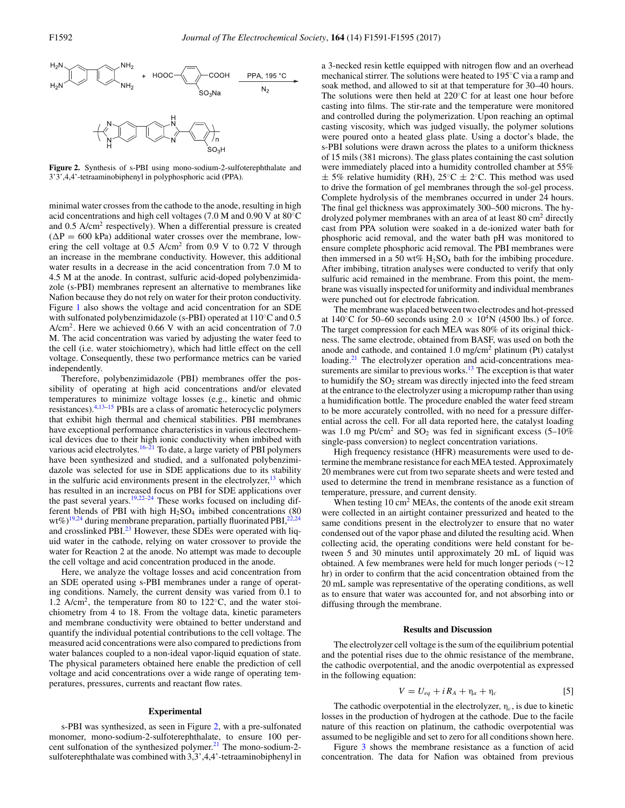

**Figure 2.** Synthesis of s-PBI using mono-sodium-2-sulfoterephthalate and 3'3',4,4'-tetraaminobiphenyl in polyphosphoric acid (PPA).

minimal water crosses from the cathode to the anode, resulting in high acid concentrations and high cell voltages (7.0 M and 0.90 V at 80◦C and 0.5 A/cm2 respectively). When a differential pressure is created  $(\Delta P = 600 \text{ kPa})$  additional water crosses over the membrane, lowering the cell voltage at  $0.5$  A/cm<sup>2</sup> from  $0.9$  V to  $0.72$  V through an increase in the membrane conductivity. However, this additional water results in a decrease in the acid concentration from 7.0 M to 4.5 M at the anode. In contrast, sulfuric acid-doped polybenzimidazole (s-PBI) membranes represent an alternative to membranes like Nafion because they do not rely on water for their proton conductivity. Figure 1 also shows the voltage and acid concentration for an SDE with sulfonated polybenzimidazole (s-PBI) operated at 110◦C and 0.5  $A/cm<sup>2</sup>$ . Here we achieved 0.66 V with an acid concentration of 7.0 M. The acid concentration was varied by adjusting the water feed to the cell (i.e. water stoichiometry), which had little effect on the cell voltage. Consequently, these two performance metrics can be varied independently.

Therefore, polybenzimidazole (PBI) membranes offer the possibility of operating at high acid concentrations and/or elevated temperatures to minimize voltage losses (e.g., kinetic and ohmic resistances).4,13–15 PBIs are a class of aromatic heterocyclic polymers that exhibit high thermal and chemical stabilities. PBI membranes have exceptional performance characteristics in various electrochemical devices due to their high ionic conductivity when imbibed with various acid electrolytes.<sup>16–21</sup> To date, a large variety of PBI polymers have been synthesized and studied, and a sulfonated polybenzimidazole was selected for use in SDE applications due to its stability in the sulfuric acid environments present in the electrolyzer, $13$  which has resulted in an increased focus on PBI for SDE applications over the past several years.<sup>19,22–24</sup> These works focused on including different blends of PBI with high  $H<sub>2</sub>SO<sub>4</sub>$  imbibed concentrations (80 wt%)<sup>19,24</sup> during membrane preparation, partially fluorinated PBI,<sup>22,24</sup> and crosslinked PBI.<sup>23</sup> However, these SDEs were operated with liquid water in the cathode, relying on water crossover to provide the water for Reaction 2 at the anode. No attempt was made to decouple the cell voltage and acid concentration produced in the anode.

Here, we analyze the voltage losses and acid concentration from an SDE operated using s-PBI membranes under a range of operating conditions. Namely, the current density was varied from 0.1 to 1.2 A/cm2, the temperature from 80 to 122◦C, and the water stoichiometry from 4 to 18. From the voltage data, kinetic parameters and membrane conductivity were obtained to better understand and quantify the individual potential contributions to the cell voltage. The measured acid concentrations were also compared to predictions from water balances coupled to a non-ideal vapor-liquid equation of state. The physical parameters obtained here enable the prediction of cell voltage and acid concentrations over a wide range of operating temperatures, pressures, currents and reactant flow rates.

#### **Experimental**

s-PBI was synthesized, as seen in Figure 2, with a pre-sulfonated monomer, mono-sodium-2-sulfoterephthalate, to ensure 100 percent sulfonation of the synthesized polymer.<sup>21</sup> The mono-sodium-2sulfoterephthalate was combined with 3,3',4,4'-tetraaminobiphenyl in a 3-necked resin kettle equipped with nitrogen flow and an overhead mechanical stirrer. The solutions were heated to 195◦C via a ramp and soak method, and allowed to sit at that temperature for 30–40 hours. The solutions were then held at 220◦C for at least one hour before casting into films. The stir-rate and the temperature were monitored and controlled during the polymerization. Upon reaching an optimal casting viscosity, which was judged visually, the polymer solutions were poured onto a heated glass plate. Using a doctor's blade, the s-PBI solutions were drawn across the plates to a uniform thickness of 15 mils (381 microns). The glass plates containing the cast solution were immediately placed into a humidity controlled chamber at 55%  $\pm$  5% relative humidity (RH), 25°C  $\pm$  2°C. This method was used to drive the formation of gel membranes through the sol-gel process. Complete hydrolysis of the membranes occurred in under 24 hours. The final gel thickness was approximately 300–500 microns. The hydrolyzed polymer membranes with an area of at least 80 cm<sup>2</sup> directly cast from PPA solution were soaked in a de-ionized water bath for phosphoric acid removal, and the water bath pH was monitored to ensure complete phosphoric acid removal. The PBI membranes were then immersed in a 50 wt%  $H_2SO_4$  bath for the imbibing procedure. After imbibing, titration analyses were conducted to verify that only sulfuric acid remained in the membrane. From this point, the membrane was visually inspected for uniformity and individual membranes were punched out for electrode fabrication.

The membrane was placed between two electrodes and hot-pressed at 140 $\degree$ C for 50–60 seconds using 2.0  $\times$  10<sup>4</sup>N (4500 lbs.) of force. The target compression for each MEA was 80% of its original thickness. The same electrode, obtained from BASF, was used on both the anode and cathode, and contained  $1.0 \text{ mg/cm}^2$  platinum (Pt) catalyst loading.<sup>21</sup> The electrolyzer operation and acid-concentrations measurements are similar to previous works.<sup>13</sup> The exception is that water to humidify the  $SO<sub>2</sub>$  stream was directly injected into the feed stream at the entrance to the electrolyzer using a micropump rather than using a humidification bottle. The procedure enabled the water feed stream to be more accurately controlled, with no need for a pressure differential across the cell. For all data reported here, the catalyst loading was 1.0 mg Pt/cm<sup>2</sup> and  $SO_2$  was fed in significant excess (5–10%) single-pass conversion) to neglect concentration variations.

High frequency resistance (HFR) measurements were used to determine the membrane resistance for each MEA tested. Approximately 20 membranes were cut from two separate sheets and were tested and used to determine the trend in membrane resistance as a function of temperature, pressure, and current density.

When testing  $10 \text{ cm}^2$  MEAs, the contents of the anode exit stream were collected in an airtight container pressurized and heated to the same conditions present in the electrolyzer to ensure that no water condensed out of the vapor phase and diluted the resulting acid. When collecting acid, the operating conditions were held constant for between 5 and 30 minutes until approximately 20 mL of liquid was obtained. A few membranes were held for much longer periods (∼12 hr) in order to confirm that the acid concentration obtained from the 20 mL sample was representative of the operating conditions, as well as to ensure that water was accounted for, and not absorbing into or diffusing through the membrane.

## **Results and Discussion**

The electrolyzer cell voltage is the sum of the equilibrium potential and the potential rises due to the ohmic resistance of the membrane, the cathodic overpotential, and the anodic overpotential as expressed in the following equation:

$$
V = U_{eq} + iR_A + \eta_a + \eta_c \tag{5}
$$

The cathodic overpotential in the electrolyzer,  $\eta_c$ , is due to kinetic losses in the production of hydrogen at the cathode. Due to the facile nature of this reaction on platinum, the cathodic overpotential was assumed to be negligible and set to zero for all conditions shown here.

Figure 3 shows the membrane resistance as a function of acid concentration. The data for Nafion was obtained from previous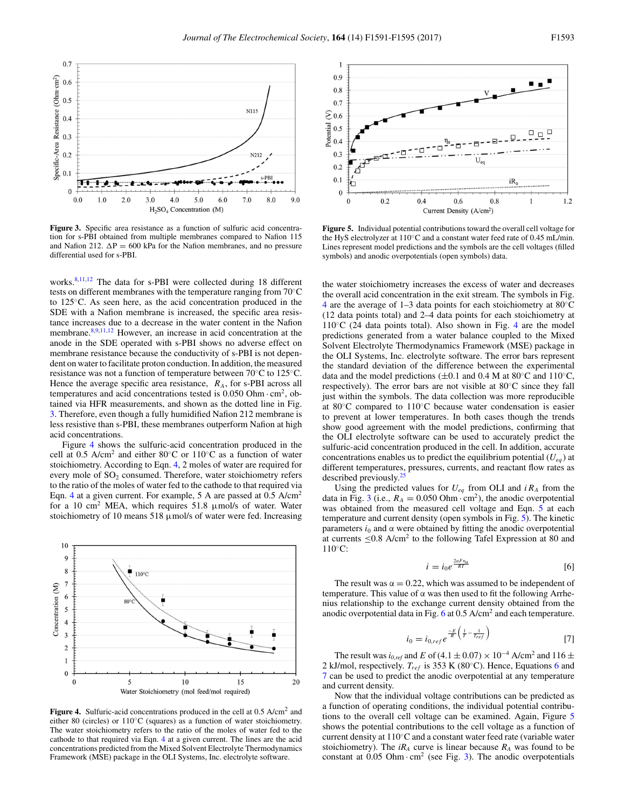

**Figure 3.** Specific area resistance as a function of sulfuric acid concentration for s-PBI obtained from multiple membranes compared to Nafion 115 and Nafion 212.  $\Delta P = 600$  kPa for the Nafion membranes, and no pressure differential used for s-PBI.

works.<sup>8,11,12</sup> The data for s-PBI were collected during 18 different tests on different membranes with the temperature ranging from 70◦C to 125◦C. As seen here, as the acid concentration produced in the SDE with a Nafion membrane is increased, the specific area resistance increases due to a decrease in the water content in the Nafion membrane.<sup>8,9,11,12</sup> However, an increase in acid concentration at the anode in the SDE operated with s-PBI shows no adverse effect on membrane resistance because the conductivity of s-PBI is not dependent on water to facilitate proton conduction. In addition, the measured resistance was not a function of temperature between 70◦C to 125◦C. Hence the average specific area resistance, *RA*, for s-PBI across all temperatures and acid concentrations tested is  $0.050$  Ohm $\cdot$  cm<sup>2</sup>, obtained via HFR measurements, and shown as the dotted line in Fig. 3. Therefore, even though a fully humidified Nafion 212 membrane is less resistive than s-PBI, these membranes outperform Nafion at high acid concentrations.

Figure 4 shows the sulfuric-acid concentration produced in the cell at 0.5 A/cm<sup>2</sup> and either 80 $\degree$ C or 110 $\degree$ C as a function of water stoichiometry. According to Eqn. 4, 2 moles of water are required for every mole of SO<sub>2</sub> consumed. Therefore, water stoichiometry refers to the ratio of the moles of water fed to the cathode to that required via Eqn. 4 at a given current. For example, 5 A are passed at 0.5 A/cm<sup>2</sup> for a 10 cm<sup>2</sup> MEA, which requires 51.8  $\mu$ mol/s of water. Water stoichiometry of 10 means 518  $\mu$ mol/s of water were fed. Increasing



**Figure 4.** Sulfuric-acid concentrations produced in the cell at 0.5 A/cm<sup>2</sup> and either 80 (circles) or  $110\textdegree C$  (squares) as a function of water stoichiometry. The water stoichiometry refers to the ratio of the moles of water fed to the cathode to that required via Eqn. 4 at a given current. The lines are the acid concentrations predicted from the Mixed Solvent Electrolyte Thermodynamics Framework (MSE) package in the OLI Systems, Inc. electrolyte software.



**Figure 5.** Individual potential contributions toward the overall cell voltage for the HyS electrolyzer at 110◦C and a constant water feed rate of 0.45 mL/min. Lines represent model predictions and the symbols are the cell voltages (filled symbols) and anodic overpotentials (open symbols) data.

the water stoichiometry increases the excess of water and decreases the overall acid concentration in the exit stream. The symbols in Fig. 4 are the average of 1–3 data points for each stoichiometry at 80◦C (12 data points total) and 2–4 data points for each stoichiometry at 110◦C (24 data points total). Also shown in Fig. 4 are the model predictions generated from a water balance coupled to the Mixed Solvent Electrolyte Thermodynamics Framework (MSE) package in the OLI Systems, Inc. electrolyte software. The error bars represent the standard deviation of the difference between the experimental data and the model predictions ( $\pm 0.1$  and 0.4 M at 80°C and 110°C, respectively). The error bars are not visible at 80◦C since they fall just within the symbols. The data collection was more reproducible at 80◦C compared to 110◦C because water condensation is easier to prevent at lower temperatures. In both cases though the trends show good agreement with the model predictions, confirming that the OLI electrolyte software can be used to accurately predict the sulfuric-acid concentration produced in the cell. In addition, accurate concentrations enables us to predict the equilibrium potential  $(U_{eq})$  at different temperatures, pressures, currents, and reactant flow rates as described previously.<sup>2</sup>

Using the predicted values for  $U_{eq}$  from OLI and  $iR_A$  from the data in Fig. 3 (i.e.,  $R_A = 0.050$  Ohm $\cdot$  cm<sup>2</sup>), the anodic overpotential was obtained from the measured cell voltage and Eqn. 5 at each temperature and current density (open symbols in Fig. 5). The kinetic parameters  $i_0$  and  $\alpha$  were obtained by fitting the anodic overpotential at currents  $\leq 0.8$  A/cm<sup>2</sup> to the following Tafel Expression at 80 and 110◦C:

$$
i = i_0 e^{\frac{2\alpha F \eta_a}{RT}} \tag{6}
$$

The result was  $\alpha = 0.22$ , which was assumed to be independent of temperature. This value of  $\alpha$  was then used to fit the following Arrhenius relationship to the exchange current density obtained from the anodic overpotential data in Fig.  $6$  at 0.5 A/cm<sup>2</sup> and each temperature.

$$
i_0 = i_{0,ref} e^{-\frac{E}{R} \left(\frac{1}{T} - \frac{1}{T_{ref}}\right)}
$$
 [7]

The result was  $i_{0,ref}$  and *E* of (4.1  $\pm$  0.07) × 10<sup>-4</sup> A/cm<sup>2</sup> and 116  $\pm$ 2 kJ/mol, respectively. *Tref* is 353 K (80◦C). Hence, Equations 6 and 7 can be used to predict the anodic overpotential at any temperature and current density.

Now that the individual voltage contributions can be predicted as a function of operating conditions, the individual potential contributions to the overall cell voltage can be examined. Again, Figure 5 shows the potential contributions to the cell voltage as a function of current density at 110◦C and a constant water feed rate (variable water stoichiometry). The  $iR_A$  curve is linear because  $R_A$  was found to be constant at  $0.05$  Ohm $\cdot$  cm<sup>2</sup> (see Fig. 3). The anodic overpotentials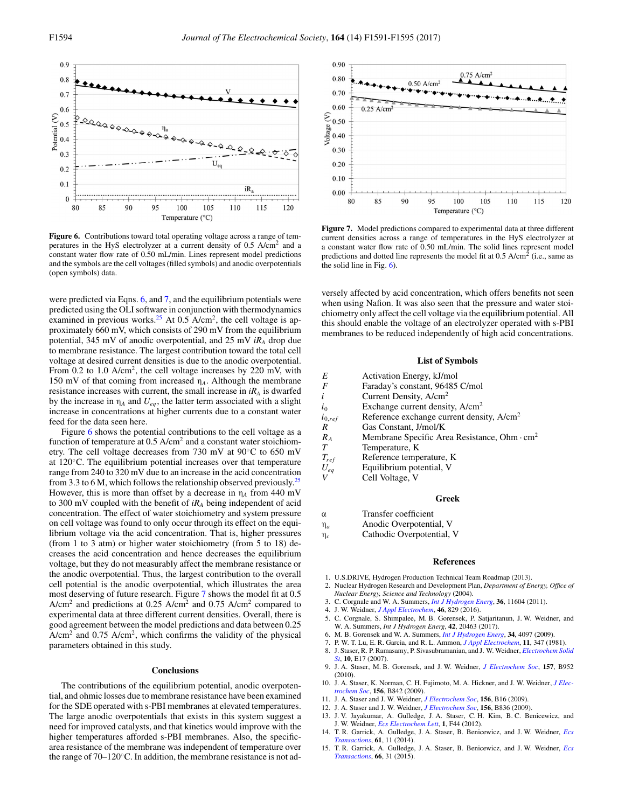

**Figure 6.** Contributions toward total operating voltage across a range of temperatures in the HyS electrolyzer at a current density of 0.5 A/cm2 and a constant water flow rate of 0.50 mL/min. Lines represent model predictions and the symbols are the cell voltages (filled symbols) and anodic overpotentials (open symbols) data.

were predicted via Eqns. 6, and 7, and the equilibrium potentials were predicted using the OLI software in conjunction with thermodynamics examined in previous works.<sup>25</sup> At 0.5 A/cm<sup>2</sup>, the cell voltage is approximately 660 mV, which consists of 290 mV from the equilibrium potential, 345 mV of anodic overpotential, and 25 mV *iRA* drop due to membrane resistance. The largest contribution toward the total cell voltage at desired current densities is due to the anodic overpotential. From 0.2 to 1.0 A/cm<sup>2</sup>, the cell voltage increases by 220 mV, with 150 mV of that coming from increased η*A*. Although the membrane resistance increases with current, the small increase in  $iR_A$  is dwarfed by the increase in  $\eta_A$  and  $U_{eq}$ , the latter term associated with a slight increase in concentrations at higher currents due to a constant water feed for the data seen here.

Figure 6 shows the potential contributions to the cell voltage as a function of temperature at  $0.5$  A/cm<sup>2</sup> and a constant water stoichiometry. The cell voltage decreases from 730 mV at 90◦C to 650 mV at 120◦C. The equilibrium potential increases over that temperature range from 240 to 320 mV due to an increase in the acid concentration from 3.3 to 6 M, which follows the relationship observed previously.<sup>25</sup> However, this is more than offset by a decrease in  $\eta_A$  from 440 mV to 300 mV coupled with the benefit of *iRA* being independent of acid concentration. The effect of water stoichiometry and system pressure on cell voltage was found to only occur through its effect on the equilibrium voltage via the acid concentration. That is, higher pressures (from 1 to 3 atm) or higher water stoichiometry (from 5 to 18) decreases the acid concentration and hence decreases the equilibrium voltage, but they do not measurably affect the membrane resistance or the anodic overpotential. Thus, the largest contribution to the overall cell potential is the anodic overpotential, which illustrates the area most deserving of future research. Figure 7 shows the model fit at 0.5  $A/cm<sup>2</sup>$  and predictions at 0.25  $A/cm<sup>2</sup>$  and 0.75  $A/cm<sup>2</sup>$  compared to experimental data at three different current densities. Overall, there is good agreement between the model predictions and data between 0.25  $A/cm<sup>2</sup>$  and 0.75 A/cm<sup>2</sup>, which confirms the validity of the physical parameters obtained in this study.

## **Conclusions**

The contributions of the equilibrium potential, anodic overpotential, and ohmic losses due to membrane resistance have been examined for the SDE operated with s-PBI membranes at elevated temperatures. The large anodic overpotentials that exists in this system suggest a need for improved catalysts, and that kinetics would improve with the higher temperatures afforded s-PBI membranes. Also, the specificarea resistance of the membrane was independent of temperature over the range of 70–120◦C. In addition, the membrane resistance is not ad-



**Figure 7.** Model predictions compared to experimental data at three different current densities across a range of temperatures in the HyS electrolyzer at a constant water flow rate of 0.50 mL/min. The solid lines represent model predictions and dotted line represents the model fit at  $0.5$  A/cm<sup>2</sup> (i.e., same as the solid line in Fig. 6).

versely affected by acid concentration, which offers benefits not seen when using Nafion. It was also seen that the pressure and water stoichiometry only affect the cell voltage via the equilibrium potential. All this should enable the voltage of an electrolyzer operated with s-PBI membranes to be reduced independently of high acid concentrations.

## **List of Symbols**

| E           | Activation Energy, kJ/mol                                |
|-------------|----------------------------------------------------------|
| F           | Faraday's constant, 96485 C/mol                          |
| i           | Current Density, A/cm <sup>2</sup>                       |
| $\dot{i}_0$ | Exchange current density, $A/cm2$                        |
| $i_{0,ref}$ | Reference exchange current density, A/cm <sup>2</sup>    |
| R           | Gas Constant, J/mol/K                                    |
| $R_{A}$     | Membrane Specific Area Resistance, Ohm · cm <sup>2</sup> |
|             | Temperature, K                                           |
| $T_{ref}$   | Reference temperature, K                                 |
| $U_{ea}$    | Equilibrium potential, V                                 |
|             | Cell Voltage, V                                          |
|             |                                                          |

## **Greek**

α Transfer coefficient

η*<sup>a</sup>* Anodic Overpotential, V

η*<sup>c</sup>* Cathodic Overpotential, V

#### **References**

- 1. U.S.DRIVE, Hydrogen Production Technical Team Roadmap (2013).
- 2. Nuclear Hydrogen Research and Development Plan, *Department of Energy, Office of Nuclear Energy, Science and Technology* (2004).
- 3. C. Corgnale and W. A. Summers, *[Int J Hydrogen Energ](http://dx.doi.org/10.1016/j.ijhydene.2011.05.173)*, **36**, 11604 (2011).
- 4. J. W. Weidner, *[J Appl Electrochem](http://dx.doi.org/10.1007/s10800-016-0962-0)*, **46**, 829 (2016).
- 5. C. Corgnale, S. Shimpalee, M. B. Gorensek, P. Satjaritanun, J. W. Weidner, and W. A. Summers, *Int J Hydrogen Energ*, **42**, 20463 (2017).
- 6. M. B. Gorensek and W. A. Summers, *[Int J Hydrogen Energ](http://dx.doi.org/10.1016/j.ijhydene.2008.06.049)*, **34**, 4097 (2009).
- 7. P. W. T. Lu, E. R. Garcia, and R. L. Ammon, *[J Appl Electrochem](http://dx.doi.org/10.1007/BF00613954)*, **11**, 347 (1981).
- 8. J. Staser, R. P. Ramasamy, P. Sivasubramanian, and J. W. Weidner, *[Electrochem Solid](http://dx.doi.org/10.1149/1.2771529)*
- *[St](http://dx.doi.org/10.1149/1.2771529)*, **10**, E17 (2007). 9. J. A. Staser, M. B. Gorensek, and J. W. Weidner, *[J Electrochem Soc](http://dx.doi.org/10.1149/1.3397901)*, **157**, B952 (2010).
- 10. J. A. Staser, K. Norman, C. H. Fujimoto, M. A. Hickner, and J. W. Weidner, *[J Elec](http://dx.doi.org/10.1149/1.3129676)[trochem Soc](http://dx.doi.org/10.1149/1.3129676)*, **156**, B842 (2009).
- 11. J. A. Staser and J. W. Weidner, *[J Electrochem Soc](http://dx.doi.org/10.1149/1.3001923)*, **156**, B16 (2009).
- 12. J. A. Staser and J. W. Weidner, *[J Electrochem Soc](http://dx.doi.org/10.1149/1.3129444)*, **156**, B836 (2009).
- 13. J. V. Jayakumar, A. Gulledge, J. A. Staser, C. H. Kim, B. C. Benicewicz, and J. W. Weidner, *[Ecs Electrochem Lett](http://dx.doi.org/10.1149/2.010206eel)*, **1**, F44 (2012).
- 14. T. R. Garrick, A. Gulledge, J. A. Staser, B. Benicewicz, and J. W. Weidner, *[Ecs](http://dx.doi.org/10.1149/06128.0011ecst) [Transactions](http://dx.doi.org/10.1149/06128.0011ecst)*, **61**, 11 (2014).
- 15. T. R. Garrick, A. Gulledge, J. A. Staser, B. Benicewicz, and J. W. Weidner, *[Ecs](http://dx.doi.org/10.1149/06603.0031ecst) [Transactions](http://dx.doi.org/10.1149/06603.0031ecst)*, **66**, 31 (2015).